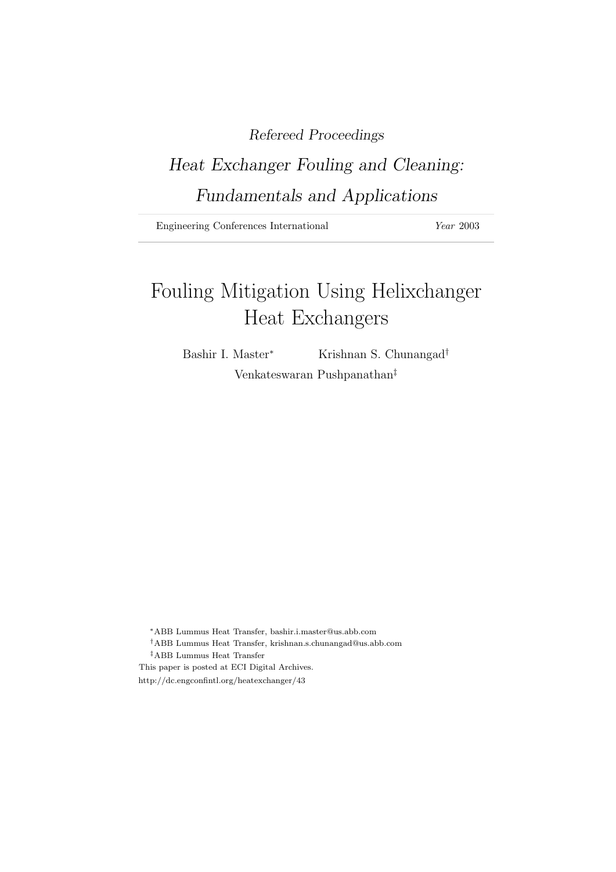# Refereed Proceedings

# Heat Exchanger Fouling and Cleaning: Fundamentals and Applications

Engineering Conferences International *Year* 2003

# Fouling Mitigation Using Helixchanger Heat Exchangers

Bashir I. Master<sup>\*</sup> Krishnan S. Chunangad<sup>†</sup> Venkateswaran Pushpanathan‡

<sup>∗</sup>ABB Lummus Heat Transfer, bashir.i.master@us.abb.com

- †ABB Lummus Heat Transfer, krishnan.s.chunangad@us.abb.com ‡ABB Lummus Heat Transfer
- This paper is posted at ECI Digital Archives.
- http://dc.engconfintl.org/heatexchanger/43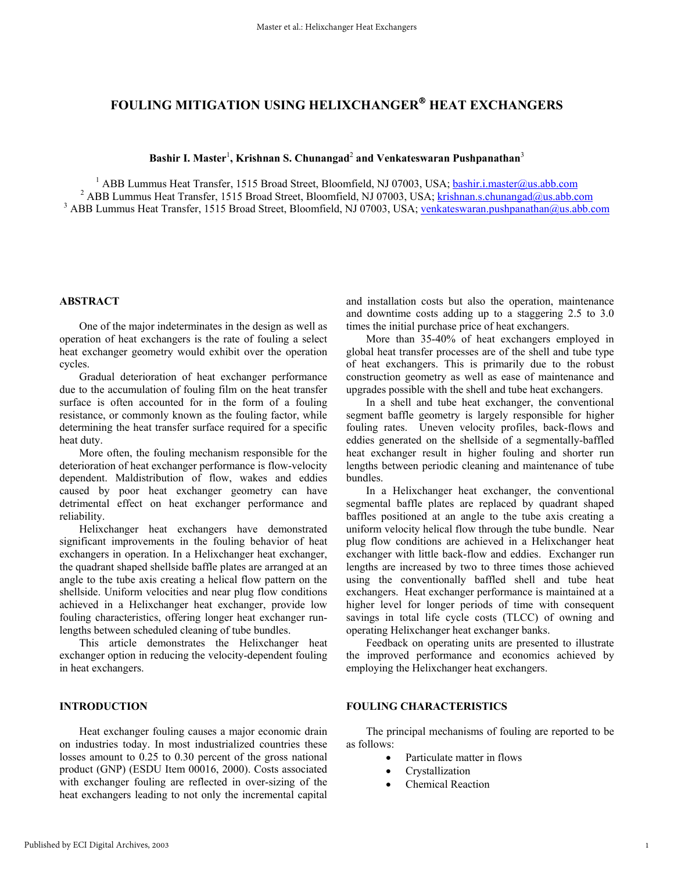# **FOULING MITIGATION USING HELIXCHANGER HEAT EXCHANGERS**

# **Bashir I. Master**<sup>1</sup> **, Krishnan S. Chunangad**<sup>2</sup>  **and Venkateswaran Pushpanathan**<sup>3</sup>

<sup>1</sup> ABB Lummus Heat Transfer, 1515 Broad Street, Bloomfield, NJ 07003, USA; <u>bashir.i.master@us.abb.com</u><br><sup>2</sup> ABB Lummus Heat Transfer, 1515 Broad Street, Bloomfield, NJ 07003, USA; brishnen s.ghunangad@us.abb.com <sup>2</sup> ABB Lummus Heat Transfer, 1515 Broad Street, Bloomfield, NJ 07003, USA; krishnan.s.chunangad@us.abb.com <sup>3</sup> ABB Lummus Heat Transfer, 1515 Broad Street, Bloomfield, NJ 07003, USA; venkateswaran.pushpanathan@us.abb.com

# **ABSTRACT**

One of the major indeterminates in the design as well as operation of heat exchangers is the rate of fouling a select heat exchanger geometry would exhibit over the operation cycles.

Gradual deterioration of heat exchanger performance due to the accumulation of fouling film on the heat transfer surface is often accounted for in the form of a fouling resistance, or commonly known as the fouling factor, while determining the heat transfer surface required for a specific heat duty.

More often, the fouling mechanism responsible for the deterioration of heat exchanger performance is flow-velocity dependent. Maldistribution of flow, wakes and eddies caused by poor heat exchanger geometry can have detrimental effect on heat exchanger performance and reliability.

Helixchanger heat exchangers have demonstrated significant improvements in the fouling behavior of heat exchangers in operation. In a Helixchanger heat exchanger, the quadrant shaped shellside baffle plates are arranged at an angle to the tube axis creating a helical flow pattern on the shellside. Uniform velocities and near plug flow conditions achieved in a Helixchanger heat exchanger, provide low fouling characteristics, offering longer heat exchanger runlengths between scheduled cleaning of tube bundles.

This article demonstrates the Helixchanger heat exchanger option in reducing the velocity-dependent fouling in heat exchangers.

# **INTRODUCTION**

Heat exchanger fouling causes a major economic drain on industries today. In most industrialized countries these losses amount to 0.25 to 0.30 percent of the gross national product (GNP) (ESDU Item 00016, 2000). Costs associated with exchanger fouling are reflected in over-sizing of the heat exchangers leading to not only the incremental capital and installation costs but also the operation, maintenance and downtime costs adding up to a staggering 2.5 to 3.0 times the initial purchase price of heat exchangers.

More than 35-40% of heat exchangers employed in global heat transfer processes are of the shell and tube type of heat exchangers. This is primarily due to the robust construction geometry as well as ease of maintenance and upgrades possible with the shell and tube heat exchangers.

In a shell and tube heat exchanger, the conventional segment baffle geometry is largely responsible for higher fouling rates. Uneven velocity profiles, back-flows and eddies generated on the shellside of a segmentally-baffled heat exchanger result in higher fouling and shorter run lengths between periodic cleaning and maintenance of tube bundles.

In a Helixchanger heat exchanger, the conventional segmental baffle plates are replaced by quadrant shaped baffles positioned at an angle to the tube axis creating a uniform velocity helical flow through the tube bundle. Near plug flow conditions are achieved in a Helixchanger heat exchanger with little back-flow and eddies. Exchanger run lengths are increased by two to three times those achieved using the conventionally baffled shell and tube heat exchangers. Heat exchanger performance is maintained at a higher level for longer periods of time with consequent savings in total life cycle costs (TLCC) of owning and operating Helixchanger heat exchanger banks.

Feedback on operating units are presented to illustrate the improved performance and economics achieved by employing the Helixchanger heat exchangers.

### **FOULING CHARACTERISTICS**

The principal mechanisms of fouling are reported to be as follows:

- Particulate matter in flows
- Crystallization
- Chemical Reaction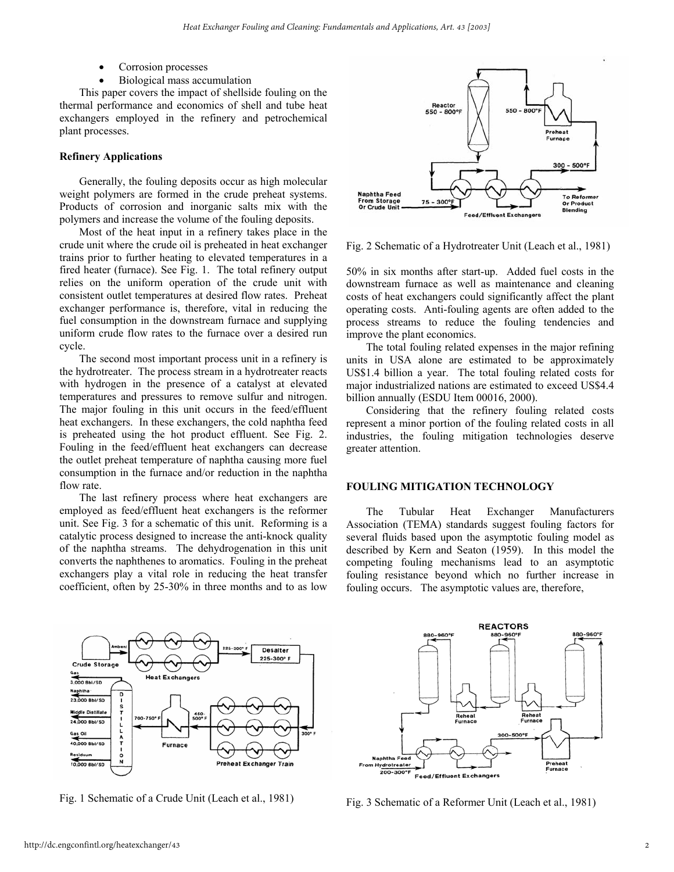- Corrosion processes
- Biological mass accumulation

This paper covers the impact of shellside fouling on the thermal performance and economics of shell and tube heat exchangers employed in the refinery and petrochemical plant processes.

### **Refinery Applications**

Generally, the fouling deposits occur as high molecular weight polymers are formed in the crude preheat systems. Products of corrosion and inorganic salts mix with the polymers and increase the volume of the fouling deposits.

Most of the heat input in a refinery takes place in the crude unit where the crude oil is preheated in heat exchanger trains prior to further heating to elevated temperatures in a fired heater (furnace). See Fig. 1. The total refinery output relies on the uniform operation of the crude unit with consistent outlet temperatures at desired flow rates. Preheat exchanger performance is, therefore, vital in reducing the fuel consumption in the downstream furnace and supplying uniform crude flow rates to the furnace over a desired run cycle.

The second most important process unit in a refinery is the hydrotreater. The process stream in a hydrotreater reacts with hydrogen in the presence of a catalyst at elevated temperatures and pressures to remove sulfur and nitrogen. The major fouling in this unit occurs in the feed/effluent heat exchangers. In these exchangers, the cold naphtha feed is preheated using the hot product effluent. See Fig. 2. Fouling in the feed/effluent heat exchangers can decrease the outlet preheat temperature of naphtha causing more fuel consumption in the furnace and/or reduction in the naphtha flow rate.

The last refinery process where heat exchangers are employed as feed/effluent heat exchangers is the reformer unit. See Fig. 3 for a schematic of this unit. Reforming is a catalytic process designed to increase the anti-knock quality of the naphtha streams. The dehydrogenation in this unit converts the naphthenes to aromatics. Fouling in the preheat exchangers play a vital role in reducing the heat transfer coefficient, often by 25-30% in three months and to as low



Fig. 2 Schematic of a Hydrotreater Unit (Leach et al., 1981)

50% in six months after start-up. Added fuel costs in the downstream furnace as well as maintenance and cleaning costs of heat exchangers could significantly affect the plant operating costs. Anti-fouling agents are often added to the process streams to reduce the fouling tendencies and improve the plant economics.

The total fouling related expenses in the major refining units in USA alone are estimated to be approximately US\$1.4 billion a year. The total fouling related costs for major industrialized nations are estimated to exceed US\$4.4 billion annually (ESDU Item 00016, 2000).

Considering that the refinery fouling related costs represent a minor portion of the fouling related costs in all industries, the fouling mitigation technologies deserve greater attention.

# **FOULING MITIGATION TECHNOLOGY**

The Tubular Heat Exchanger Manufacturers Association (TEMA) standards suggest fouling factors for several fluids based upon the asymptotic fouling model as described by Kern and Seaton (1959). In this model the competing fouling mechanisms lead to an asymptotic fouling resistance beyond which no further increase in fouling occurs. The asymptotic values are, therefore,



Fig. 1 Schematic of a Crude Unit (Leach et al., 1981)



Fig. 3 Schematic of a Reformer Unit (Leach et al., 1981)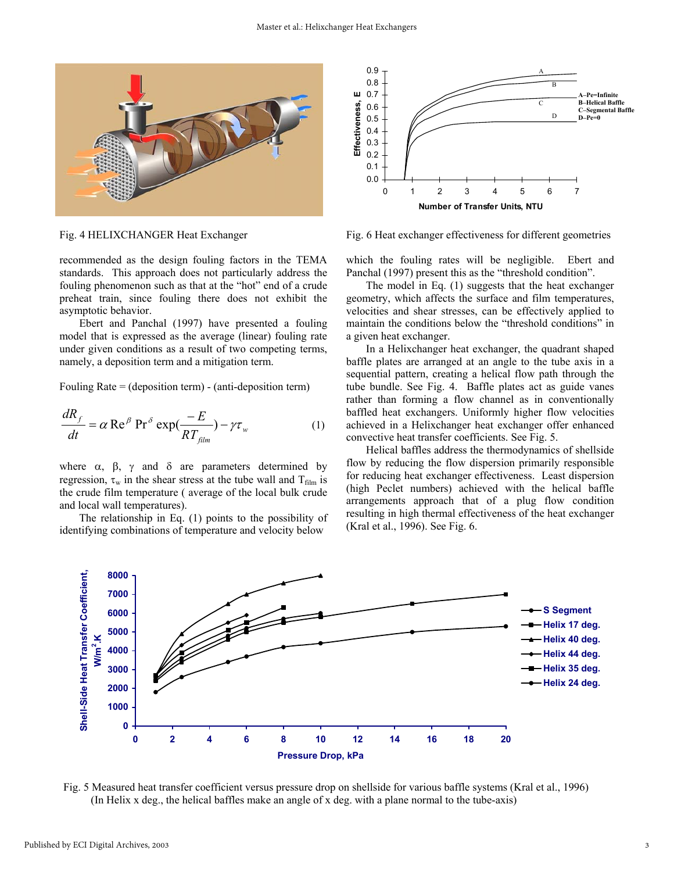

0.9 A 0.8 B Ш 0.7 **A–Pe=Infinite Effectiveness, E B–Helical Baffle**  Effectiveness, C 0.6 **C–Segmental Baffle**  0.5 D **D–Pe=0**  0.4 0.3 0.2 0.1 0.0 01234567 **Number of Transfer Units, NTU**

Fig. 4 HELIXCHANGER Heat Exchanger

Fig. 6 Heat exchanger effectiveness for different geometries

recommended as the design fouling factors in the TEMA standards. This approach does not particularly address the fouling phenomenon such as that at the "hot" end of a crude preheat train, since fouling there does not exhibit the asymptotic behavior.

Ebert and Panchal (1997) have presented a fouling model that is expressed as the average (linear) fouling rate under given conditions as a result of two competing terms, namely, a deposition term and a mitigation term.

Fouling Rate = (deposition term) - (anti-deposition term)

$$
\frac{dR_f}{dt} = \alpha \operatorname{Re}^{\beta} \operatorname{Pr}^{\delta} \exp(\frac{-E}{RT_{film}}) - \gamma \tau_w \tag{1}
$$

where  $\alpha$ ,  $\beta$ ,  $\gamma$  and  $\delta$  are parameters determined by regression,  $\tau_w$  in the shear stress at the tube wall and  $T_{film}$  is the crude film temperature ( average of the local bulk crude and local wall temperatures).

The relationship in Eq. (1) points to the possibility of identifying combinations of temperature and velocity below

which the fouling rates will be negligible. Ebert and Panchal (1997) present this as the "threshold condition".

The model in Eq. (1) suggests that the heat exchanger geometry, which affects the surface and film temperatures, velocities and shear stresses, can be effectively applied to maintain the conditions below the "threshold conditions" in a given heat exchanger.

In a Helixchanger heat exchanger, the quadrant shaped baffle plates are arranged at an angle to the tube axis in a sequential pattern, creating a helical flow path through the tube bundle. See Fig. 4. Baffle plates act as guide vanes rather than forming a flow channel as in conventionally baffled heat exchangers. Uniformly higher flow velocities achieved in a Helixchanger heat exchanger offer enhanced convective heat transfer coefficients. See Fig. 5.

Helical baffles address the thermodynamics of shellside flow by reducing the flow dispersion primarily responsible for reducing heat exchanger effectiveness. Least dispersion (high Peclet numbers) achieved with the helical baffle arrangements approach that of a plug flow condition resulting in high thermal effectiveness of the heat exchanger (Kral et al., 1996). See Fig. 6.



Fig. 5 Measured heat transfer coefficient versus pressure drop on shellside for various baffle systems (Kral et al., 1996) (In Helix x deg., the helical baffles make an angle of x deg. with a plane normal to the tube-axis)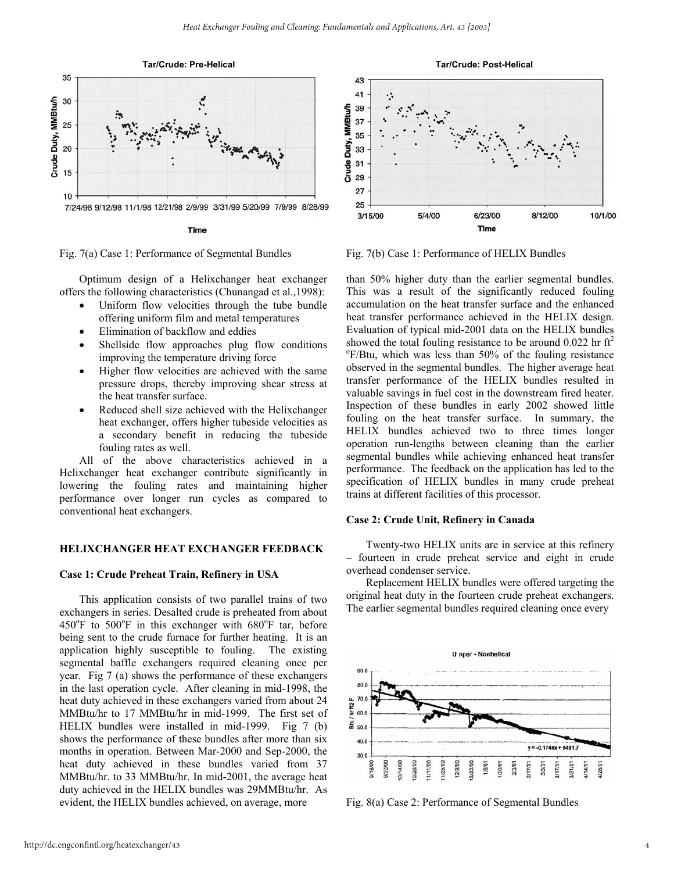

Fig. 7(a) Case 1: Performance of Segmental Bundles

Optimum design of a Helixchanger heat exchanger offers the following characteristics (Chunangad et al.,1998):

- Uniform flow velocities through the tube bundle offering uniform film and metal temperatures
- Elimination of backflow and eddies
- Shellside flow approaches plug flow conditions improving the temperature driving force
- Higher flow velocities are achieved with the same pressure drops, thereby improving shear stress at the heat transfer surface.
- Reduced shell size achieved with the Helixchanger heat exchanger, offers higher tubeside velocities as a secondary benefit in reducing the tubeside fouling rates as well.

All of the above characteristics achieved in a Helixchanger heat exchanger contribute significantly in lowering the fouling rates and maintaining higher performance over longer run cycles as compared to conventional heat exchangers.

## **HELIXCHANGER HEAT EXCHANGER FEEDBACK**

#### **Case 1: Crude Preheat Train, Refinery in USA**

This application consists of two parallel trains of two exchangers in series. Desalted crude is preheated from about 450°F to 500°F in this exchanger with 680°F tar, before being sent to the crude furnace for further heating. It is an application highly susceptible to fouling. The existing segmental baffle exchangers required cleaning once per year. Fig 7 (a) shows the performance of these exchangers in the last operation cycle. After cleaning in mid-1998, the heat duty achieved in these exchangers varied from about 24 MMBtu/hr to 17 MMBtu/hr in mid-1999. The first set of HELIX bundles were installed in mid-1999. Fig 7 (b) shows the performance of these bundles after more than six months in operation. Between Mar-2000 and Sep-2000, the heat duty achieved in these bundles varied from 37 MMBtu/hr. to 33 MMBtu/hr. In mid-2001, the average heat duty achieved in the HELIX bundles was 29MMBtu/hr. As evident, the HELIX bundles achieved, on average, more



Fig. 7(b) Case 1: Performance of HELIX Bundles

than 50% higher duty than the earlier segmental bundles. This was a result of the significantly reduced fouling accumulation on the heat transfer surface and the enhanced heat transfer performance achieved in the HELIX design. Evaluation of typical mid-2001 data on the HELIX bundles showed the total fouling resistance to be around  $0.022$  hr ft<sup>2</sup> o F/Btu, which was less than 50% of the fouling resistance observed in the segmental bundles. The higher average heat transfer performance of the HELIX bundles resulted in valuable savings in fuel cost in the downstream fired heater. Inspection of these bundles in early 2002 showed little fouling on the heat transfer surface. In summary, the HELIX bundles achieved two to three times longer operation run-lengths between cleaning than the earlier segmental bundles while achieving enhanced heat transfer performance. The feedback on the application has led to the specification of HELIX bundles in many crude preheat trains at different facilities of this processor.

## **Case 2: Crude Unit, Refinery in Canada**

Twenty-two HELIX units are in service at this refinery – fourteen in crude preheat service and eight in crude overhead condenser service.

Replacement HELIX bundles were offered targeting the original heat duty in the fourteen crude preheat exchangers. The earlier segmental bundles required cleaning once every



Fig. 8(a) Case 2: Performance of Segmental Bundles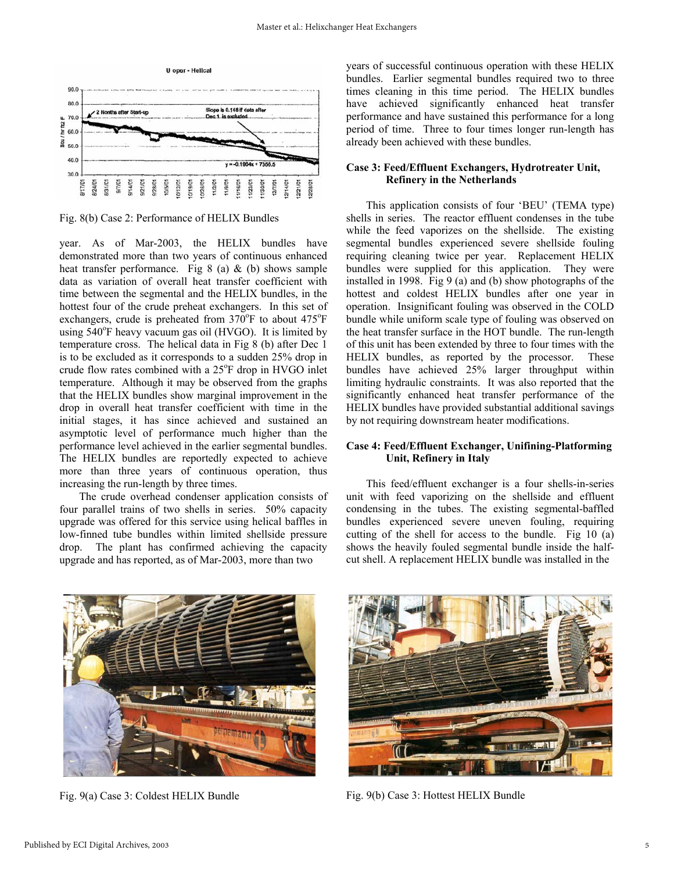

Fig. 8(b) Case 2: Performance of HELIX Bundles

year. As of Mar-2003, the HELIX bundles have demonstrated more than two years of continuous enhanced heat transfer performance. Fig 8 (a)  $\&$  (b) shows sample data as variation of overall heat transfer coefficient with time between the segmental and the HELIX bundles, in the hottest four of the crude preheat exchangers. In this set of exchangers, crude is preheated from  $370^{\circ}$ F to about  $475^{\circ}$ F using 540°F heavy vacuum gas oil (HVGO). It is limited by temperature cross. The helical data in Fig 8 (b) after Dec 1 is to be excluded as it corresponds to a sudden 25% drop in crude flow rates combined with a 25°F drop in HVGO inlet temperature. Although it may be observed from the graphs that the HELIX bundles show marginal improvement in the drop in overall heat transfer coefficient with time in the initial stages, it has since achieved and sustained an asymptotic level of performance much higher than the performance level achieved in the earlier segmental bundles. The HELIX bundles are reportedly expected to achieve more than three years of continuous operation, thus increasing the run-length by three times.

The crude overhead condenser application consists of four parallel trains of two shells in series. 50% capacity upgrade was offered for this service using helical baffles in low-finned tube bundles within limited shellside pressure drop. The plant has confirmed achieving the capacity upgrade and has reported, as of Mar-2003, more than two

years of successful continuous operation with these HELIX bundles. Earlier segmental bundles required two to three times cleaning in this time period. The HELIX bundles have achieved significantly enhanced heat transfer performance and have sustained this performance for a long period of time. Three to four times longer run-length has already been achieved with these bundles.

# **Case 3: Feed/Effluent Exchangers, Hydrotreater Unit, Refinery in the Netherlands**

This application consists of four 'BEU' (TEMA type) shells in series. The reactor effluent condenses in the tube while the feed vaporizes on the shellside. The existing segmental bundles experienced severe shellside fouling requiring cleaning twice per year. Replacement HELIX bundles were supplied for this application. They were installed in 1998. Fig 9 (a) and (b) show photographs of the hottest and coldest HELIX bundles after one year in operation. Insignificant fouling was observed in the COLD bundle while uniform scale type of fouling was observed on the heat transfer surface in the HOT bundle. The run-length of this unit has been extended by three to four times with the HELIX bundles, as reported by the processor. These bundles have achieved 25% larger throughput within limiting hydraulic constraints. It was also reported that the significantly enhanced heat transfer performance of the HELIX bundles have provided substantial additional savings by not requiring downstream heater modifications.

# **Case 4: Feed/Effluent Exchanger, Unifining-Platforming Unit, Refinery in Italy**

This feed/effluent exchanger is a four shells-in-series unit with feed vaporizing on the shellside and effluent condensing in the tubes. The existing segmental-baffled bundles experienced severe uneven fouling, requiring cutting of the shell for access to the bundle. Fig 10 (a) shows the heavily fouled segmental bundle inside the halfcut shell. A replacement HELIX bundle was installed in the



Fig. 9(a) Case 3: Coldest HELIX Bundle



Fig. 9(b) Case 3: Hottest HELIX Bundle